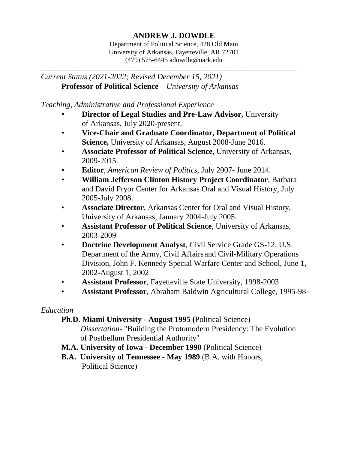# **ANDREW J. DOWDLE**

Department of Political Science, 428 Old Main University of Arkansas, Fayetteville, AR 72701 (479) 575-6445 adowdle@uark.edu

\_\_\_\_\_\_\_\_\_\_\_\_\_\_\_\_\_\_\_\_\_\_\_\_\_\_\_\_\_\_\_\_\_\_\_\_\_\_\_\_\_\_\_\_\_\_\_\_\_\_\_\_\_\_\_\_\_\_\_\_\_\_\_\_\_\_\_\_\_\_\_\_\_\_\_

# *Current Status (2021-2022; Revised December 15, 2021)* **Professor of Political Science** – *University of Arkansas*

*Teaching, Administrative and Professional Experience* 

- *•* **Director of Legal Studies and Pre-Law Advisor,** University of Arkansas, July 2020-present.
- *•* **Vice-Chair and Graduate Coordinator, Department of Political Science,** University of Arkansas, August 2008-June 2016.
- *•* **Associate Professor of Political Science**, University of Arkansas, 2009-2015.
- *•* **Editor**, *American Review of Politics,* July 2007- June 2014.
- *•* **William Jefferson Clinton History Project Coordinator**, Barbara and David Pryor Center for Arkansas Oral and Visual History, July 2005-July 2008.
- **Associate Director**, Arkansas Center for Oral and Visual History, University of Arkansas, January 2004-July 2005.
- **Assistant Professor of Political Science**, University of Arkansas, 2003-2009
- **Doctrine Development Analyst**, Civil Service Grade GS-12, U.S. Department of the Army, Civil Affairs and Civil-Military Operations Division, John F. Kennedy Special Warfare Center and School, June 1, 2002-August 1, 2002
- **Assistant Professor**, Fayetteville State University, 1998-2003
- **Assistant Professor**, Abraham Baldwin Agricultural College, 1995-98

# *Education*

# **Ph.D. Miami University - August 1995 (**Political Science)  *Dissertation-* "Building the Protomodern Presidency: The Evolution of Postbellum Presidential Authority"

- **M.A. University of Iowa - December 1990** (Political Science)
- **B.A. University of Tennessee - May 1989** (B.A. with Honors, Political Science)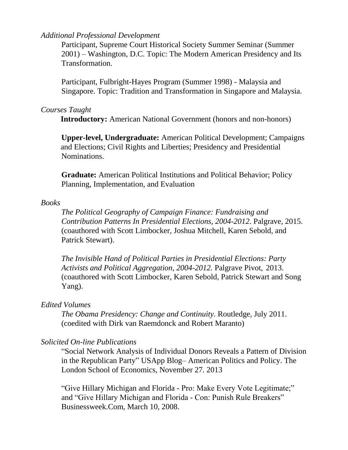## *Additional Professional Development*

Participant, Supreme Court Historical Society Summer Seminar (Summer 2001) – Washington, D.C. Topic: The Modern American Presidency and Its Transformation.

Participant, Fulbright-Hayes Program (Summer 1998) - Malaysia and Singapore. Topic: Tradition and Transformation in Singapore and Malaysia.

#### *Courses Taught*

**Introductory:** American National Government (honors and non-honors)

**Upper-level, Undergraduate:** American Political Development; Campaigns and Elections; Civil Rights and Liberties; Presidency and Presidential Nominations.

**Graduate:** American Political Institutions and Political Behavior; Policy Planning, Implementation, and Evaluation

#### *Books*

*The Political Geography of Campaign Finance: Fundraising and Contribution Patterns In Presidential Elections, 2004-2012*. Palgrave, 2015. (coauthored with Scott Limbocker, Joshua Mitchell, Karen Sebold, and Patrick Stewart).

*The Invisible Hand of Political Parties in Presidential Elections: Party Activists and Political Aggregation, 2004-2012.* Palgrave Pivot, 2013. (coauthored with Scott Limbocker, Karen Sebold, Patrick Stewart and Song Yang).

## *Edited Volumes*

*The Obama Presidency: Change and Continuity.* Routledge, July 2011. (coedited with Dirk van Raemdonck and Robert Maranto)

## *Solicited On-line Publications*

["Social Network Analysis of Individual Donors Reveals a Pattern of Division](http://blogs.lse.ac.uk/usappblog/2013/11/27/social-network-analysis-republican-division/)  [in the Republican Party"](http://blogs.lse.ac.uk/usappblog/2013/11/27/social-network-analysis-republican-division/) USApp Blog– American Politics and Policy. The London School of Economics, November 27. 2013

"Give Hillary Michigan and Florida - Pro: Make Every Vote Legitimate;" and "Give Hillary Michigan and Florida - Con: Punish Rule Breakers" Businessweek.Com, March 10, 2008.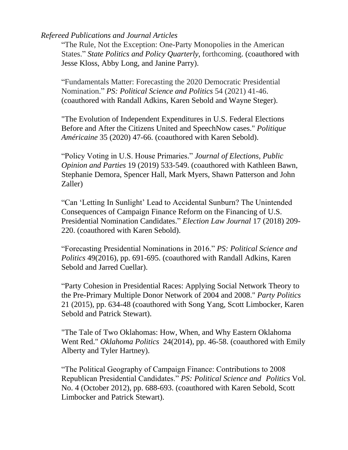## *Refereed Publications and Journal Articles*

"The Rule, Not the Exception: One-Party Monopolies in the American States." *State Politics and Policy Quarterly,* forthcoming. (coauthored with Jesse Kloss, Abby Long, and Janine Parry).

"Fundamentals Matter: Forecasting the 2020 Democratic Presidential Nomination." *PS: Political Science and Politics* 54 (2021) 41-46. (coauthored with Randall Adkins, Karen Sebold and Wayne Steger).

"The Evolution of Independent Expenditures in U.S. Federal Elections Before and After the Citizens United and SpeechNow cases." *Politique Américaine* 35 (2020) 47-66. (coauthored with Karen Sebold).

"Policy Voting in U.S. House Primaries." *Journal of Elections, Public Opinion and Parties* 19 (2019) 533-549. (coauthored with Kathleen Bawn, Stephanie Demora, Spencer Hall, Mark Myers, Shawn Patterson and John Zaller)

"Can 'Letting In Sunlight' Lead to Accidental Sunburn? The Unintended Consequences of Campaign Finance Reform on the Financing of U.S. Presidential Nomination Candidates." *Election Law Journal* 17 (2018) 209- 220. (coauthored with Karen Sebold).

"Forecasting Presidential Nominations in 2016." *PS: Political Science and Politics* 49(2016), pp. 691-695. (coauthored with Randall Adkins, Karen Sebold and Jarred Cuellar).

"Party Cohesion in Presidential Races: Applying Social Network Theory to the Pre-Primary Multiple Donor Network of 2004 and 2008." *Party Politics*  21 (2015), pp. 634-48 (coauthored with Song Yang, Scott Limbocker, Karen Sebold and Patrick Stewart).

"The Tale of Two Oklahomas: How, When, and Why Eastern Oklahoma Went Red." *Oklahoma Politics* 24(2014), pp. 46-58. (coauthored with Emily Alberty and Tyler Hartney).

"The Political Geography of Campaign Finance: Contributions to 2008 Republican Presidential Candidates." *PS: Political Science and Politics* Vol. No. 4 (October 2012), pp. 688-693. (coauthored with Karen Sebold, Scott Limbocker and Patrick Stewart).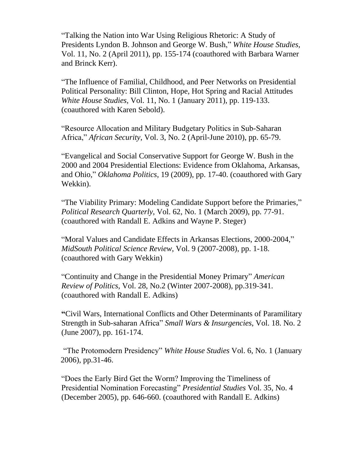"Talking the Nation into War Using Religious Rhetoric: A Study of Presidents Lyndon B. Johnson and George W. Bush," *White House Studies,* Vol. 11, No. 2 (April 2011), pp. 155-174 (coauthored with Barbara Warner and Brinck Kerr).

"The Influence of Familial, Childhood, and Peer Networks on Presidential Political Personality: Bill Clinton, Hope, Hot Spring and Racial Attitudes *White House Studies,* Vol. 11, No. 1 (January 2011), pp. 119-133. (coauthored with Karen Sebold).

"Resource Allocation and Military Budgetary Politics in Sub-Saharan Africa," *African Security*, Vol. 3, No. 2 (April-June 2010), pp. 65-79.

"Evangelical and Social Conservative Support for George W. Bush in the 2000 and 2004 Presidential Elections: Evidence from Oklahoma, Arkansas, and Ohio," *Oklahoma Politics*, 19 (2009), pp. 17-40. (coauthored with Gary Wekkin).

"The Viability Primary: Modeling Candidate Support before the Primaries," *Political Research Quarterly*, Vol. 62, No. 1 (March 2009), pp. 77-91. (coauthored with Randall E. Adkins and Wayne P. Steger)

"Moral Values and Candidate Effects in Arkansas Elections, 2000-2004," *MidSouth Political Science Review*, Vol. 9 (2007-2008), pp. 1-18. (coauthored with Gary Wekkin)

"Continuity and Change in the Presidential Money Primary" *American Review of Politics*, Vol. 28, No.2 (Winter 2007-2008), pp.319-341. (coauthored with Randall E. Adkins)

**"**Civil Wars, International Conflicts and Other Determinants of Paramilitary Strength in Sub-saharan Africa" *Small Wars & Insurgencies*, Vol. 18. No. 2 (June 2007), pp. 161-174.

"The Protomodern Presidency" *White House Studies* Vol. 6, No. 1 (January 2006), pp.31-46.

"Does the Early Bird Get the Worm? Improving the Timeliness of Presidential Nomination Forecasting" *Presidential Studies* Vol. 35, No. 4 (December 2005), pp. 646-660. (coauthored with Randall E. Adkins)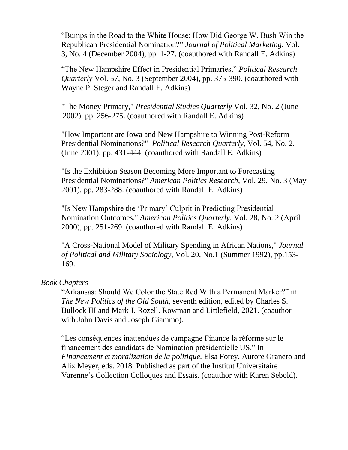"Bumps in the Road to the White House: How Did George W. Bush Win the Republican Presidential Nomination?" *Journal of Political Marketing*, Vol. 3, No. 4 (December 2004), pp. 1-27. (coauthored with Randall E. Adkins)

"The New Hampshire Effect in Presidential Primaries," *Political Research Quarterly* Vol. 57, No. 3 (September 2004), pp. 375-390. (coauthored with Wayne P. Steger and Randall E. Adkins)

"The Money Primary," *Presidential Studies Quarterly* Vol. 32, No. 2 (June 2002), pp. 256-275. (coauthored with Randall E. Adkins)

"How Important are Iowa and New Hampshire to Winning Post-Reform Presidential Nominations?" *Political Research Quarterly,* Vol. 54, No. 2*.*  (June 2001), pp. 431-444. (coauthored with Randall E. Adkins)

"Is the Exhibition Season Becoming More Important to Forecasting Presidential Nominations?" *American Politics Research*, Vol. 29, No. 3 (May 2001), pp. 283-288. (coauthored with Randall E. Adkins)

"Is New Hampshire the 'Primary' Culprit in Predicting Presidential Nomination Outcomes," *American Politics Quarterly*, Vol. 28, No. 2 (April 2000), pp. 251-269. (coauthored with Randall E. Adkins)

"A Cross-National Model of Military Spending in African Nations," *Journal of Political and Military Sociology,* Vol. 20, No.1 (Summer 1992), pp.153- 169.

## *Book Chapters*

"Arkansas: Should We Color the State Red With a Permanent Marker?" in *The New Politics of the Old South*, seventh edition, edited by Charles S. Bullock III and Mark J. Rozell. Rowman and Littlefield, 2021. (coauthor with John Davis and Joseph Giammo).

"Les conséquences inattendues de campagne Finance la réforme sur le financement des candidats de Nomination présidentielle US." In *Financement et moralization de la politique*. Elsa Forey, Aurore Granero and Alix Meyer, eds. 2018. Published as part of the Institut Universitaire Varenne's Collection Colloques and Essais. (coauthor with Karen Sebold).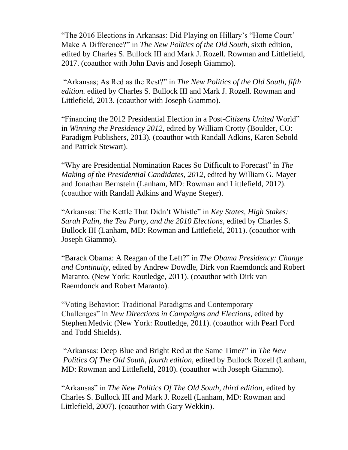"The 2016 Elections in Arkansas: Did Playing on Hillary's "Home Court' Make A Difference?" in *The New Politics of the Old South*, sixth edition, edited by Charles S. Bullock III and Mark J. Rozell. Rowman and Littlefield, 2017. (coauthor with John Davis and Joseph Giammo).

"Arkansas; As Red as the Rest?" in *The New Politics of the Old South, fifth edition.* edited by Charles S. Bullock III and Mark J. Rozell. Rowman and Littlefield, 2013. (coauthor with Joseph Giammo).

"Financing the 2012 Presidential Election in a Post-*Citizens United* World" in *Winning the Presidency 2012,* edited by William Crotty (Boulder, CO: Paradigm Publishers, 2013). (coauthor with Randall Adkins, Karen Sebold and Patrick Stewart).

"Why are Presidential Nomination Races So Difficult to Forecast" in *The Making of the Presidential Candidates, 2012,* edited by William G. Mayer and Jonathan Bernstein (Lanham, MD: Rowman and Littlefield, 2012). (coauthor with Randall Adkins and Wayne Steger).

"Arkansas: The Kettle That Didn't Whistle" in *Key States, High Stakes: Sarah Palin, the Tea Party, and the 2010 Elections,* edited by Charles S. Bullock III (Lanham, MD: Rowman and Littlefield, 2011). (coauthor with Joseph Giammo).

"Barack Obama: A Reagan of the Left?" in *The Obama Presidency: Change and Continuity,* edited by Andrew Dowdle, Dirk von Raemdonck and Robert Maranto*.* (New York: Routledge, 2011). (coauthor with Dirk van Raemdonck and Robert Maranto).

"Voting Behavior: Traditional Paradigms and Contemporary Challenges" in *New Directions in Campaigns and Elections*, edited by Stephen Medvic (New York: Routledge, 2011). (coauthor with Pearl Ford and Todd Shields).

"Arkansas: Deep Blue and Bright Red at the Same Time?" in *The New Politics Of The Old South, fourth edition*, edited by Bullock Rozell (Lanham, MD: Rowman and Littlefield, 2010). (coauthor with Joseph Giammo).

"Arkansas" in *The New Politics Of The Old South, third edition*, edited by Charles S. Bullock III and Mark J. Rozell (Lanham, MD: Rowman and Littlefield, 2007). (coauthor with Gary Wekkin).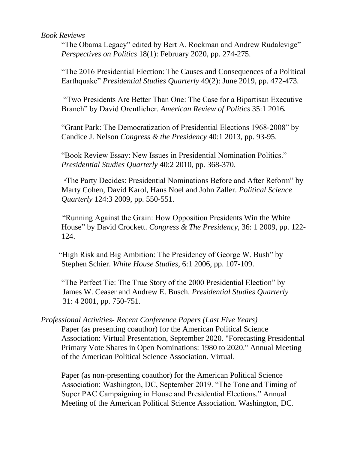*Book Reviews*

"The Obama Legacy" edited by Bert A. Rockman and Andrew Rudalevige" *Perspectives on Politics* 18(1): February 2020, pp. 274-275.

"The 2016 Presidential Election: The Causes and Consequences of a Political Earthquake" *Presidential Studies Quarterly* 49(2): June 2019, pp. 472-473.

"Two Presidents Are Better Than One: The Case for a Bipartisan Executive Branch" by David Orentlicher. *American Review of Politics* 35:1 2016.

"Grant Park: The Democratization of Presidential Elections 1968-2008" by Candice J. Nelson *Congress & the Presidency* 40:1 2013, pp. 93-95.

"Book Review Essay: New Issues in Presidential Nomination Politics." *Presidential Studies Quarterly* 40:2 2010, pp. 368-370.

"The Party Decides: Presidential Nominations Before and After Reform" by Marty Cohen, David Karol, Hans Noel and John Zaller. *Political Science Quarterly* 124:3 2009, pp. 550-551.

"Running Against the Grain: How Opposition Presidents Win the White House" by David Crockett. *Congress & The Presidency*, 36: 1 2009, pp. 122- 124.

 "High Risk and Big Ambition: The Presidency of George W. Bush" by Stephen Schier. *White House Studies*, 6:1 2006, pp. 107-109.

"The Perfect Tie: The True Story of the 2000 Presidential Election" by James W. Ceaser and Andrew E. Busch. *Presidential Studies Quarterly* 31: 4 2001, pp. 750-751.

*Professional Activities- Recent Conference Papers (Last Five Years)* Paper (as presenting coauthor) for the American Political Science Association: Virtual Presentation, September 2020. "Forecasting Presidential Primary Vote Shares in Open Nominations: 1980 to 2020." Annual Meeting of the American Political Science Association. Virtual.

Paper (as non-presenting coauthor) for the American Political Science Association: Washington, DC, September 2019. "The Tone and Timing of Super PAC Campaigning in House and Presidential Elections." Annual Meeting of the American Political Science Association. Washington, DC.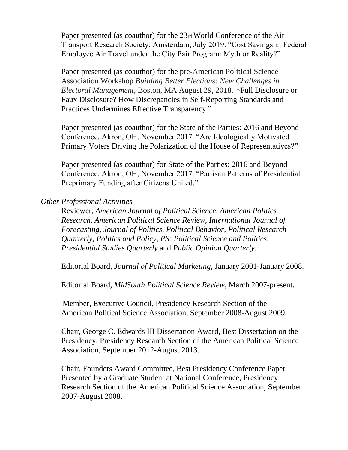Paper presented (as coauthor) for the 23rd World Conference of the Air Transport Research Society: Amsterdam, July 2019. "Cost Savings in Federal Employee Air Travel under the City Pair Program: Myth or Reality?"

Paper presented (as coauthor) for the pre-American Political Science Association Workshop *Building Better Elections: New Challenges in Electoral Management*, Boston, MA August 29, 2018. "Full Disclosure or Faux Disclosure? How Discrepancies in Self-Reporting Standards and Practices Undermines Effective Transparency."

Paper presented (as coauthor) for the State of the Parties: 2016 and Beyond Conference, Akron, OH, November 2017. "Are Ideologically Motivated Primary Voters Driving the Polarization of the House of Representatives?"

Paper presented (as coauthor) for State of the Parties: 2016 and Beyond Conference, Akron, OH, November 2017. "Partisan Patterns of Presidential Preprimary Funding after Citizens United."

## *Other Professional Activities*

Reviewer, *American Journal of Political Science*, *American Politics Research, American Political Science Review*, *International Journal of Forecasting, Journal of Politics, Political Behavior, Political Research Quarterly, Politics and Policy, PS: Political Science and Politics, Presidential Studies Quarterly* and *Public Opinion Quarterly*.

Editorial Board, *Journal of Political Marketing,* January 2001-January 2008.

Editorial Board, *MidSouth Political Science Review,* March 2007-present.

 Member, Executive Council, Presidency Research Section of the American Political Science Association, September 2008-August 2009.

Chair, George C. Edwards III Dissertation Award, Best Dissertation on the Presidency, Presidency Research Section of the American Political Science Association, September 2012-August 2013.

Chair, Founders Award Committee, Best Presidency Conference Paper Presented by a Graduate Student at National Conference, Presidency Research Section of the American Political Science Association, September 2007-August 2008.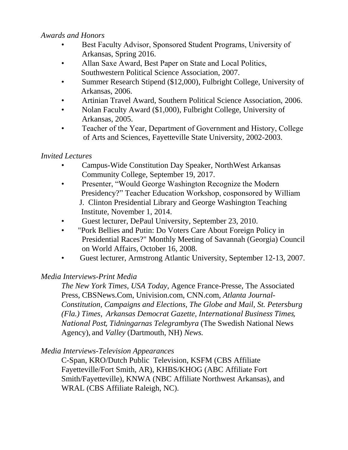## *Awards and Honors*

- Best Faculty Advisor, Sponsored Student Programs, University of Arkansas, Spring 2016.
- Allan Saxe Award, Best Paper on State and Local Politics, Southwestern Political Science Association, 2007.
- Summer Research Stipend (\$12,000), Fulbright College, University of Arkansas, 2006.
- Artinian Travel Award, Southern Political Science Association, 2006.
- Nolan Faculty Award (\$1,000), Fulbright College, University of Arkansas, 2005.
- Teacher of the Year, Department of Government and History, College of Arts and Sciences, Fayetteville State University, 2002-2003.

# *Invited Lectures*

- Campus-Wide Constitution Day Speaker, NorthWest Arkansas Community College, September 19, 2017.
- Presenter, "Would George Washington Recognize the Modern Presidency?" Teacher Education Workshop, cosponsored by William J. Clinton Presidential Library and George Washington Teaching Institute, November 1, 2014.
- Guest lecturer, DePaul University, September 23, 2010.
- "Pork Bellies and Putin: Do Voters Care About Foreign Policy in Presidential Races?" Monthly Meeting of Savannah (Georgia) Council on World Affairs, October 16, 2008.
- Guest lecturer, Armstrong Atlantic University, September 12-13, 2007.

# *Media Interviews-Print Media*

*The New York Times, USA Today,* Agence France-Presse, The Associated Press, CBSNews.Com, Univision.com, CNN.com, *Atlanta Journal-Constitution, Campaigns and Elections, The Globe and Mail, St. Petersburg (Fla.) Times, Arkansas Democrat Gazette, International Business Times, National Post, Tidningarnas Telegrambyra* (The Swedish National News Agency), and *Valley* (Dartmouth, NH) *News.*

# *Media Interviews-Television Appearances*

C-Span, KRO/Dutch Public Television, KSFM (CBS Affiliate Fayetteville/Fort Smith, AR), KHBS/KHOG (ABC Affiliate Fort Smith/Fayetteville), KNWA (NBC Affiliate Northwest Arkansas), and WRAL (CBS Affiliate Raleigh, NC).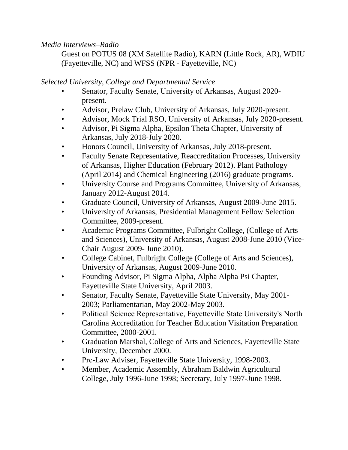*Media Interviews–Radio* 

Guest on POTUS 08 (XM Satellite Radio), KARN (Little Rock, AR), WDIU (Fayetteville, NC) and WFSS (NPR - Fayetteville, NC)

*Selected University, College and Departmental Service*

- Senator, Faculty Senate, University of Arkansas, August 2020 present.
- Advisor, Prelaw Club, University of Arkansas, July 2020-present.
- Advisor, Mock Trial RSO, University of Arkansas, July 2020-present.
- Advisor, Pi Sigma Alpha, Epsilon Theta Chapter, University of Arkansas, July 2018-July 2020.
- Honors Council, University of Arkansas, July 2018-present.
- Faculty Senate Representative, Reaccreditation Processes, University of Arkansas, Higher Education (February 2012). Plant Pathology (April 2014) and Chemical Engineering (2016) graduate programs.
- University Course and Programs Committee, University of Arkansas, January 2012-August 2014.
- Graduate Council, University of Arkansas, August 2009-June 2015.
- University of Arkansas, Presidential Management Fellow Selection Committee, 2009-present.
- Academic Programs Committee, Fulbright College, (College of Arts and Sciences), University of Arkansas, August 2008-June 2010 (Vice-Chair August 2009- June 2010).
- *•* College Cabinet, Fulbright College (College of Arts and Sciences), University of Arkansas, August 2009-June 2010*.*
- Founding Advisor, Pi Sigma Alpha, Alpha Alpha Psi Chapter, Fayetteville State University, April 2003.
- Senator, Faculty Senate, Fayetteville State University, May 2001-2003; Parliamentarian, May 2002-May 2003.
- Political Science Representative, Fayetteville State University's North Carolina Accreditation for Teacher Education Visitation Preparation Committee, 2000-2001.
- Graduation Marshal, College of Arts and Sciences, Fayetteville State University, December 2000.
- Pre-Law Adviser, Fayetteville State University, 1998-2003.
- Member, Academic Assembly, Abraham Baldwin Agricultural College, July 1996-June 1998; Secretary, July 1997-June 1998.